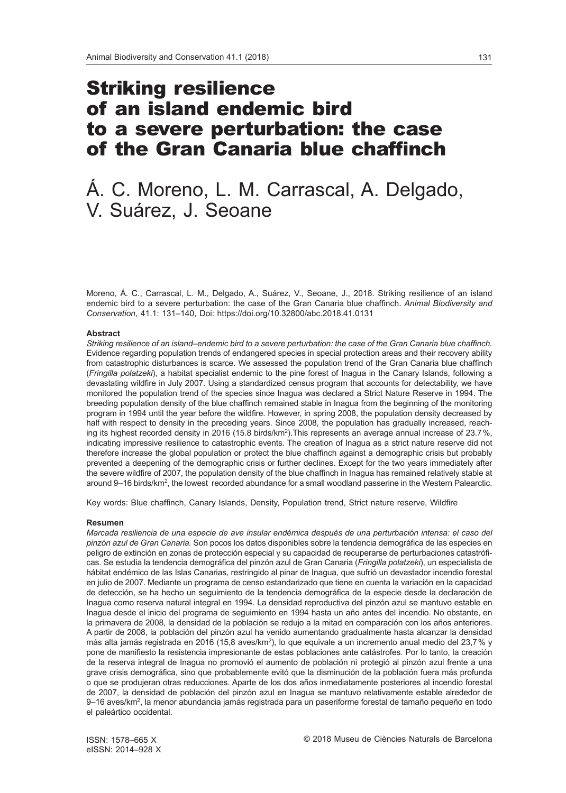# Striking resilience of an island endemic bird to a severe perturbation: the case of the Gran Canaria blue chaffinch

# Á. C. Moreno, L. M. Carrascal, A. Delgado, V. Suárez, J. Seoane

Moreno, Á. C., Carrascal, L. M., Delgado, A., Suárez, V., Seoane, J., 2018. Striking resilience of an island endemic bird to a severe perturbation: the case of the Gran Canaria blue chaffinch. *Animal Biodiversity and Conservation*, 41.1: 131–140, Doi: https://doi.org/10.32800/abc.2018.41.0131

#### **Abstract**

*Striking resilience of an island–endemic bird to a severe perturbation: the case of the Gran Canaria blue chaffinch.*  Evidence regarding population trends of endangered species in special protection areas and their recovery ability from catastrophic disturbances is scarce. We assessed the population trend of the Gran Canaria blue chaffinch (*Fringilla polatzeki*), a habitat specialist endemic to the pine forest of Inagua in the Canary Islands, following a devastating wildfire in July 2007. Using a standardized census program that accounts for detectability, we have monitored the population trend of the species since Inagua was declared a Strict Nature Reserve in 1994. The breeding population density of the blue chaffinch remained stable in Inagua from the beginning of the monitoring program in 1994 until the year before the wildfire. However, in spring 2008, the population density decreased by half with respect to density in the preceding years. Since 2008, the population has gradually increased, reaching its highest recorded density in 2016 (15.8 birds/km<sup>2</sup>). This represents an average annual increase of 23.7%, indicating impressive resilience to catastrophic events. The creation of Inagua as a strict nature reserve did not therefore increase the global population or protect the blue chaffinch against a demographic crisis but probably prevented a deepening of the demographic crisis or further declines. Except for the two years immediately after the severe wildfire of 2007, the population density of the blue chaffinch in Inagua has remained relatively stable at around 9–16 birds/km2, the lowest recorded abundance for a small woodland passerine in the Western Palearctic.

Key words: Blue chaffinch, Canary Islands, Density, Population trend, Strict nature reserve, Wildfire

#### **Resumen**

*Marcada resiliencia de una especie de ave insular endémica después de una perturbación intensa: el caso del pinzón azul de Gran Canaria.* Son pocos los datos disponibles sobre la tendencia demográfica de las especies en peligro de extinción en zonas de protección especial y su capacidad de recuperarse de perturbaciones catastróficas. Se estudia la tendencia demográfica del pinzón azul de Gran Canaria (*Fringilla polatzeki*), un especialista de hábitat endémico de las Islas Canarias, restringido al pinar de Inagua, que sufrió un devastador incendio forestal en julio de 2007. Mediante un programa de censo estandarizado que tiene en cuenta la variación en la capacidad de detección, se ha hecho un seguimiento de la tendencia demográfica de la especie desde la declaración de Inagua como reserva natural integral en 1994. La densidad reproductiva del pinzón azul se mantuvo estable en Inagua desde el inicio del programa de seguimiento en 1994 hasta un año antes del incendio. No obstante, en la primavera de 2008, la densidad de la población se redujo a la mitad en comparación con los años anteriores. A partir de 2008, la población del pinzón azul ha venido aumentando gradualmente hasta alcanzar la densidad más alta jamás registrada en 2016 (15,8 aves/km<sup>2</sup>), lo que equivale a un incremento anual medio del 23,7% y pone de manifiesto la resistencia impresionante de estas poblaciones ante catástrofes. Por lo tanto, la creación de la reserva integral de Inagua no promovió el aumento de población ni protegió al pinzón azul frente a una grave crisis demográfica, sino que probablemente evitó que la disminución de la población fuera más profunda o que se produjeran otras reducciones. Aparte de los dos años inmediatamente posteriores al incendio forestal de 2007, la densidad de población del pinzón azul en Inagua se mantuvo relativamente estable alrededor de 9–16 aves/km2, la menor abundancia jamás registrada para un paseriforme forestal de tamaño pequeño en todo el paleártico occidental.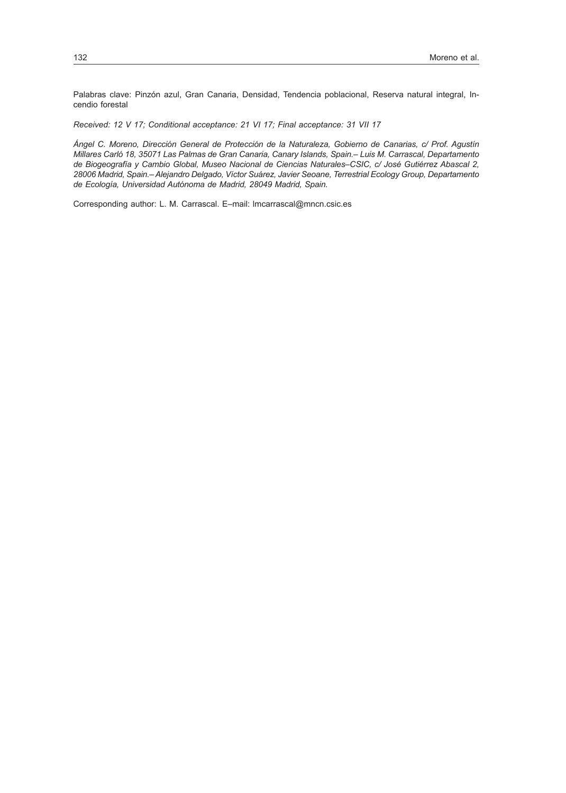Palabras clave: Pinzón azul, Gran Canaria, Densidad, Tendencia poblacional, Reserva natural integral, Incendio forestal

*Received: 12 V 17; Conditional acceptance: 21 VI 17; Final acceptance: 31 VII 17*

*Ángel C. Moreno, Dirección General de Protección de la Naturaleza, Gobierno de Canarias, c/ Prof. Agustín Millares Carló 18, 35071 Las Palmas de Gran Canaria, Canary Islands, Spain.– Luis M. Carrascal, Departamento de Biogeografía y Cambio Global, Museo Nacional de Ciencias Naturales–CSIC, c/ José Gutiérrez Abascal 2, 28006 Madrid, Spain.– Alejandro Delgado, Víctor Suárez, Javier Seoane, Terrestrial Ecology Group, Departamento de Ecología, Universidad Autónoma de Madrid, 28049 Madrid, Spain.*

Corresponding author: L. M. Carrascal. E–mail: [lmcarrascal@mncn.csic.es](mailto:lmcarrascal%40mncn.csic.es?subject=)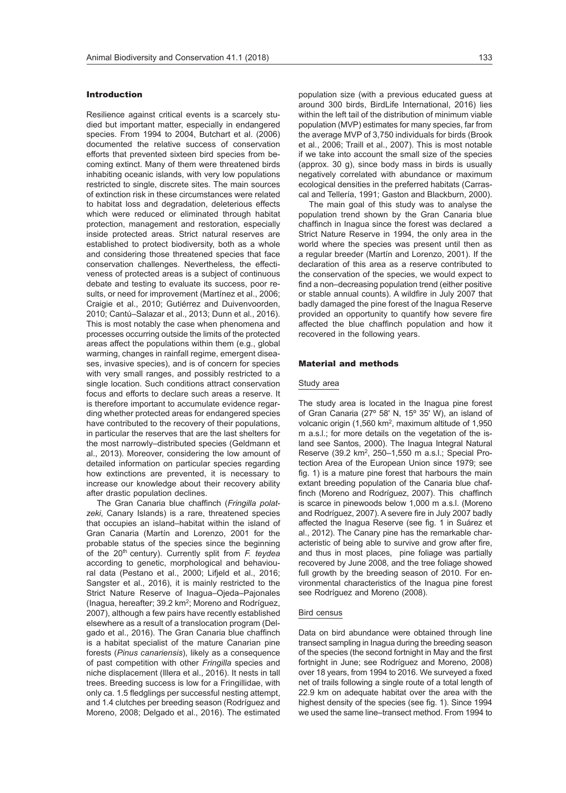## Introduction

Resilience against critical events is a scarcely studied but important matter, especially in endangered species. From 1994 to 2004, Butchart et al. (2006) documented the relative success of conservation efforts that prevented sixteen bird species from becoming extinct. Many of them were threatened birds inhabiting oceanic islands, with very low populations restricted to single, discrete sites. The main sources of extinction risk in these circumstances were related to habitat loss and degradation, deleterious effects which were reduced or eliminated through habitat protection, management and restoration, especially inside protected areas. Strict natural reserves are established to protect biodiversity, both as a whole and considering those threatened species that face conservation challenges. Nevertheless, the effectiveness of protected areas is a subject of continuous debate and testing to evaluate its success, poor results, or need for improvement (Martínez et al., 2006; Craigie et al., 2010; Gutiérrez and Duivenvoorden, 2010; Cantú–Salazar et al., 2013; Dunn et al., 2016). This is most notably the case when phenomena and processes occurring outside the limits of the protected areas affect the populations within them (e.g., global warming, changes in rainfall regime, emergent diseases, invasive species), and is of concern for species with very small ranges, and possibly restricted to a single location. Such conditions attract conservation focus and efforts to declare such areas a reserve. It is therefore important to accumulate evidence regarding whether protected areas for endangered species have contributed to the recovery of their populations, in particular the reserves that are the last shelters for the most narrowly–distributed species (Geldmann et al., 2013). Moreover, considering the low amount of detailed information on particular species regarding how extinctions are prevented, it is necessary to increase our knowledge about their recovery ability after drastic population declines.

The Gran Canaria blue chaffinch (*Fringilla polatzeki*, Canary Islands) is a rare, threatened species that occupies an island–habitat within the island of Gran Canaria (Martín and Lorenzo, 2001 for the probable status of the species since the beginning of the 20<sup>th</sup> century). Currently split from *F. teydea* according to genetic, morphological and behavioural data (Pestano et al., 2000; Lifjeld et al., 2016; Sangster et al., 2016), it is mainly restricted to the Strict Nature Reserve of Inagua–Ojeda–Pajonales (Inagua, hereafter; 39.2 km2; Moreno and Rodríguez, 2007), although a few pairs have recently established elsewhere as a result of a translocation program (Delgado et al., 2016). The Gran Canaria blue chaffinch is a habitat specialist of the mature Canarian pine forests (*Pinus canariensis*), likely as a consequence of past competition with other *Fringilla* species and niche displacement (Illera et al., 2016). It nests in tall trees. Breeding success is low for a Fringillidae, with only ca. 1.5 fledglings per successful nesting attempt, and 1.4 clutches per breeding season (Rodríguez and Moreno, 2008; Delgado et al., 2016). The estimated

population size (with a previous educated guess at around 300 birds, BirdLife International, 2016) lies within the left tail of the distribution of minimum viable population (MVP) estimates for many species, far from the average MVP of 3,750 individuals for birds (Brook et al., 2006; Traill et al., 2007). This is most notable if we take into account the small size of the species (approx. 30 g), since body mass in birds is usually negatively correlated with abundance or maximum ecological densities in the preferred habitats (Carrascal and Tellería, 1991; Gaston and Blackburn, 2000).

The main goal of this study was to analyse the population trend shown by the Gran Canaria blue chaffinch in Inagua since the forest was declared a Strict Nature Reserve in 1994, the only area in the world where the species was present until then as a regular breeder (Martín and Lorenzo, 2001). If the declaration of this area as a reserve contributed to the conservation of the species, we would expect to find a non–decreasing population trend (either positive or stable annual counts). A wildfire in July 2007 that badly damaged the pine forest of the Inagua Reserve provided an opportunity to quantify how severe fire affected the blue chaffinch population and how it recovered in the following years.

#### Material and methods

#### Study area

The study area is located in the Inagua pine forest of Gran Canaria (27º 58' N, 15º 35' W), an island of volcanic origin (1,560 km2, maximum altitude of 1,950 m a.s.l.; for more details on the vegetation of the island see Santos, 2000). The Inagua Integral Natural Reserve (39.2 km2, 250–1,550 m a.s.l.; Special Protection Area of the European Union since 1979; see fig. 1) is a mature pine forest that harbours the main extant breeding population of the Canaria blue chaffinch (Moreno and Rodríguez, 2007). This chaffinch is scarce in pinewoods below 1,000 m a.s.l. (Moreno and Rodríguez, 2007). A severe fire in July 2007 badly affected the Inagua Reserve (see fig. 1 in Suárez et al., 2012). The Canary pine has the remarkable characteristic of being able to survive and grow after fire, and thus in most places, pine foliage was partially recovered by June 2008, and the tree foliage showed full growth by the breeding season of 2010. For environmental characteristics of the Inagua pine forest see Rodríguez and Moreno (2008).

#### Bird census

Data on bird abundance were obtained through line transect sampling in Inagua during the breeding season of the species (the second fortnight in May and the first fortnight in June; see Rodríguez and Moreno, 2008) over 18 years, from 1994 to 2016. We surveyed a fixed net of trails following a single route of a total length of 22.9 km on adequate habitat over the area with the highest density of the species (see fig. 1). Since 1994 we used the same line–transect method. From 1994 to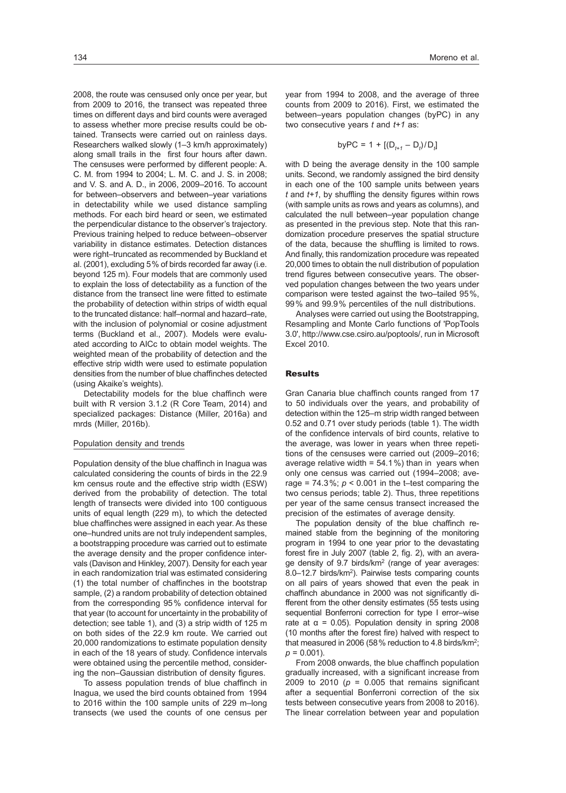2008, the route was censused only once per year, but from 2009 to 2016, the transect was repeated three times on different days and bird counts were averaged to assess whether more precise results could be obtained. Transects were carried out on rainless days. Researchers walked slowly (1–3 km/h approximately) along small trails in the first four hours after dawn. The censuses were performed by different people: A. C. M. from 1994 to 2004; L. M. C. and J. S. in 2008; and V. S. and A. D., in 2006, 2009–2016. To account for between–observers and between–year variations in detectability while we used distance sampling methods. For each bird heard or seen, we estimated the perpendicular distance to the observer's trajectory. Previous training helped to reduce between–observer variability in distance estimates. Detection distances were right–truncated as recommended by Buckland et al. (2001), excluding 5% of birds recorded far away (i.e. beyond 125 m). Four models that are commonly used to explain the loss of detectability as a function of the distance from the transect line were fitted to estimate the probability of detection within strips of width equal to the truncated distance: half–normal and hazard–rate, with the inclusion of polynomial or cosine adjustment terms (Buckland et al., 2007). Models were evaluated according to AICc to obtain model weights. The weighted mean of the probability of detection and the effective strip width were used to estimate population densities from the number of blue chaffinches detected (using Akaike's weights).

Detectability models for the blue chaffinch were built with R version 3.1.2 (R Core Team, 2014) and specialized packages: Distance (Miller, 2016a) and mrds (Miller, 2016b).

#### Population density and trends

Population density of the blue chaffinch in Inagua was calculated considering the counts of birds in the 22.9 km census route and the effective strip width (ESW) derived from the probability of detection. The total length of transects were divided into 100 contiguous units of equal length (229 m), to which the detected blue chaffinches were assigned in each year. As these one–hundred units are not truly independent samples, a bootstrapping procedure was carried out to estimate the average density and the proper confidence intervals (Davison and Hinkley, 2007). Density for each year in each randomization trial was estimated considering (1) the total number of chaffinches in the bootstrap sample, (2) a random probability of detection obtained from the corresponding 95% confidence interval for that year (to account for uncertainty in the probability of detection; see table 1), and (3) a strip width of 125 m on both sides of the 22.9 km route. We carried out 20,000 randomizations to estimate population density in each of the 18 years of study. Confidence intervals were obtained using the percentile method, considering the non–Gaussian distribution of density figures.

To assess population trends of blue chaffinch in Inagua, we used the bird counts obtained from 1994 to 2016 within the 100 sample units of 229 m–long transects (we used the counts of one census per

year from 1994 to 2008, and the average of three counts from 2009 to 2016). First, we estimated the between–years population changes (byPC) in any two consecutive years *t* and *t+1* as:

byPC = 1 + 
$$
[(D_{t+1} - D_t)/D_t]
$$

with D being the average density in the 100 sample units. Second, we randomly assigned the bird density in each one of the 100 sample units between years *t* and *t+1*, by shuffling the density figures within rows (with sample units as rows and years as columns), and calculated the null between–year population change as presented in the previous step. Note that this randomization procedure preserves the spatial structure of the data, because the shuffling is limited to rows. And finally, this randomization procedure was repeated 20,000 times to obtain the null distribution of population trend figures between consecutive years. The observed population changes between the two years under comparison were tested against the two–tailed 95%, 99% and 99.9% percentiles of the null distributions.

Analyses were carried out using the Bootstrapping, Resampling and Monte Carlo functions of 'PopTools 3.0', <http://www.cse.csiro.au/poptools/>, run in Microsoft Excel 2010.

## Results

Gran Canaria blue chaffinch counts ranged from 17 to 50 individuals over the years, and probability of detection within the 125–m strip width ranged between 0.52 and 0.71 over study periods (table 1). The width of the confidence intervals of bird counts, relative to the average, was lower in years when three repetitions of the censuses were carried out (2009–2016; average relative width =  $54.1\%$ ) than in years when only one census was carried out (1994–2008; average =  $74.3\%$ ;  $p < 0.001$  in the t-test comparing the two census periods; table 2). Thus, three repetitions per year of the same census transect increased the precision of the estimates of average density.

The population density of the blue chaffinch remained stable from the beginning of the monitoring program in 1994 to one year prior to the devastating forest fire in July 2007 (table 2, fig. 2), with an average density of 9.7 birds/km2 (range of year averages: 8.0–12.7 birds/km<sup>2</sup>). Pairwise tests comparing counts on all pairs of years showed that even the peak in chaffinch abundance in 2000 was not significantly different from the other density estimates (55 tests using sequential Bonferroni correction for type I error–wise rate at  $α = 0.05$ ). Population density in spring 2008 (10 months after the forest fire) halved with respect to that measured in 2006 (58% reduction to 4.8 birds/km2;  $p = 0.001$ ).

From 2008 onwards, the blue chaffinch population gradually increased, with a significant increase from 2009 to 2010 ( $p = 0.005$  that remains significant after a sequential Bonferroni correction of the six tests between consecutive years from 2008 to 2016). The linear correlation between year and population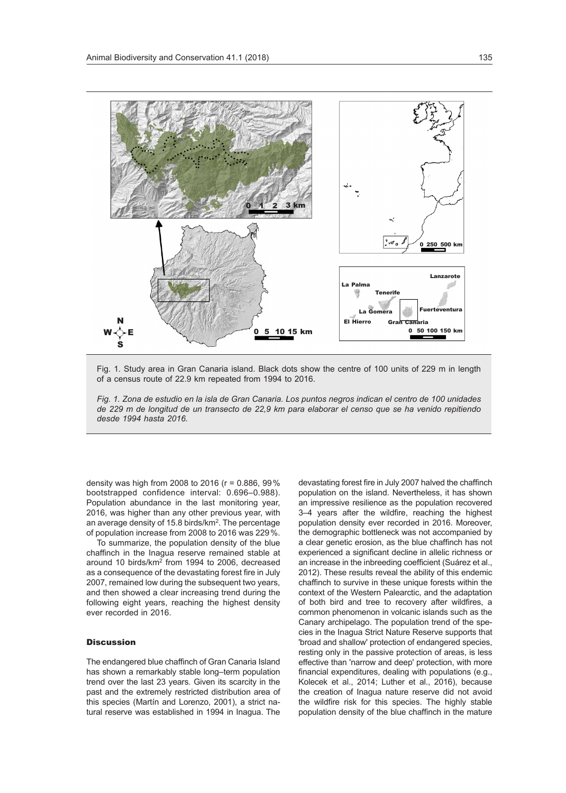

Fig. 1. Study area in Gran Canaria island. Black dots show the centre of 100 units of 229 m in length of a census route of 22.9 km repeated from 1994 to 2016.

*Fig. 1. Zona de estudio en la isla de Gran Canaria. Los puntos negros indican el centro de 100 unidades de 229 m de longitud de un transecto de 22,9 km para elaborar el censo que se ha venido repitiendo desde 1994 hasta 2016.*

density was high from 2008 to 2016 (r = 0.886, 99% bootstrapped confidence interval: 0.696–0.988). Population abundance in the last monitoring year, 2016, was higher than any other previous year, with an average density of 15.8 birds/km2. The percentage of population increase from 2008 to 2016 was 229%.

To summarize, the population density of the blue chaffinch in the Inagua reserve remained stable at around 10 birds/km2 from 1994 to 2006, decreased as a consequence of the devastating forest fire in July 2007, remained low during the subsequent two years, and then showed a clear increasing trend during the following eight years, reaching the highest density ever recorded in 2016.

### **Discussion**

The endangered blue chaffinch of Gran Canaria Island has shown a remarkably stable long–term population trend over the last 23 years. Given its scarcity in the past and the extremely restricted distribution area of this species (Martín and Lorenzo, 2001), a strict natural reserve was established in 1994 in Inagua. The devastating forest fire in July 2007 halved the chaffinch population on the island. Nevertheless, it has shown an impressive resilience as the population recovered 3–4 years after the wildfire, reaching the highest population density ever recorded in 2016. Moreover, the demographic bottleneck was not accompanied by a clear genetic erosion, as the blue chaffinch has not experienced a significant decline in allelic richness or an increase in the inbreeding coefficient (Suárez et al., 2012). These results reveal the ability of this endemic chaffinch to survive in these unique forests within the context of the Western Palearctic, and the adaptation of both bird and tree to recovery after wildfires, a common phenomenon in volcanic islands such as the Canary archipelago. The population trend of the species in the Inagua Strict Nature Reserve supports that 'broad and shallow' protection of endangered species, resting only in the passive protection of areas, is less effective than 'narrow and deep' protection, with more financial expenditures, dealing with populations (e.g., Kolecek et al., 2014; Luther et al., 2016), because the creation of Inagua nature reserve did not avoid the wildfire risk for this species. The highly stable population density of the blue chaffinch in the mature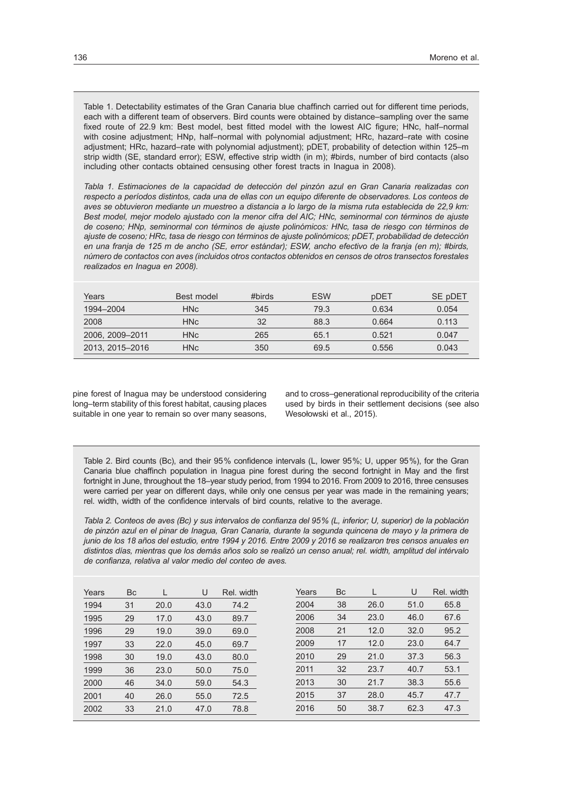Table 1. Detectability estimates of the Gran Canaria blue chaffinch carried out for different time periods, each with a different team of observers. Bird counts were obtained by distance–sampling over the same fixed route of 22.9 km: Best model, best fitted model with the lowest AIC figure; HNc, half–normal with cosine adjustment; HNp, half–normal with polynomial adjustment; HRc, hazard–rate with cosine adjustment; HRc, hazard–rate with polynomial adjustment); pDET, probability of detection within 125–m strip width (SE, standard error); ESW, effective strip width (in m); #birds, number of bird contacts (also including other contacts obtained censusing other forest tracts in Inagua in 2008).

*Tabla 1. Estimaciones de la capacidad de detección del pinzón azul en Gran Canaria realizadas con respecto a períodos distintos, cada una de ellas con un equipo diferente de observadores. Los conteos de aves se obtuvieron mediante un muestreo a distancia a lo largo de la misma ruta establecida de 22,9 km: Best model, mejor modelo ajustado con la menor cifra del AIC; HNc, seminormal con términos de ajuste de coseno; HNp, seminormal con términos de ajuste polinómicos: HNc, tasa de riesgo con términos de ajuste de coseno; HRc, tasa de riesgo con términos de ajuste polinómicos; pDET, probabilidad de detección en una franja de 125 m de ancho (SE, error estándar); ESW, ancho efectivo de la franja (en m); #birds, número de contactos con aves (incluidos otros contactos obtenidos en censos de otros transectos forestales realizados en Inagua en 2008).*

| Years           | Best model      | #birds | <b>ESW</b> | pDET  | SE pDET |
|-----------------|-----------------|--------|------------|-------|---------|
| 1994-2004       | HN <sub>c</sub> | 345    | 79.3       | 0.634 | 0.054   |
| 2008            | <b>HNc</b>      | 32     | 88.3       | 0.664 | 0.113   |
| 2006, 2009-2011 | <b>HNc</b>      | 265    | 65.1       | 0.521 | 0.047   |
| 2013, 2015-2016 | <b>HNc</b>      | 350    | 69.5       | 0.556 | 0.043   |

pine forest of Inagua may be understood considering long–term stability of this forest habitat, causing places suitable in one year to remain so over many seasons,

and to cross–generational reproducibility of the criteria used by birds in their settlement decisions (see also Wesołowski et al., 2015).

Table 2. Bird counts (Bc), and their 95% confidence intervals (L, lower 95%; U, upper 95%), for the Gran Canaria blue chaffinch population in Inagua pine forest during the second fortnight in May and the first fortnight in June, throughout the 18–year study period, from 1994 to 2016. From 2009 to 2016, three censuses were carried per year on different days, while only one census per year was made in the remaining years; rel. width, width of the confidence intervals of bird counts, relative to the average.

*Tabla 2. Conteos de aves (Bc) y sus intervalos de confianza del 95% (L, inferior; U, superior) de la población de pinzón azul en el pinar de Inagua, Gran Canaria, durante la segunda quincena de mayo y la primera de junio de los 18 años del estudio, entre 1994 y 2016. Entre 2009 y 2016 se realizaron tres censos anuales en distintos días, mientras que los demás años solo se realizó un censo anual; rel. width, amplitud del intérvalo de confianza, relativa al valor medio del conteo de aves.*

| Years | Bc | L    | U    | Rel. width | Years | <b>Bc</b> |      | U    | Rel. width |
|-------|----|------|------|------------|-------|-----------|------|------|------------|
| 1994  | 31 | 20.0 | 43.0 | 74.2       | 2004  | 38        | 26.0 | 51.0 | 65.8       |
| 1995  | 29 | 17.0 | 43.0 | 89.7       | 2006  | 34        | 23.0 | 46.0 | 67.6       |
| 1996  | 29 | 19.0 | 39.0 | 69.0       | 2008  | 21        | 12.0 | 32.0 | 95.2       |
| 1997  | 33 | 22.0 | 45.0 | 69.7       | 2009  | 17        | 12.0 | 23.0 | 64.7       |
| 1998  | 30 | 19.0 | 43.0 | 80.0       | 2010  | 29        | 21.0 | 37.3 | 56.3       |
| 1999  | 36 | 23.0 | 50.0 | 75.0       | 2011  | 32        | 23.7 | 40.7 | 53.1       |
| 2000  | 46 | 34.0 | 59.0 | 54.3       | 2013  | 30        | 21.7 | 38.3 | 55.6       |
| 2001  | 40 | 26.0 | 55.0 | 72.5       | 2015  | 37        | 28.0 | 45.7 | 47.7       |
| 2002  | 33 | 21.0 | 47.0 | 78.8       | 2016  | 50        | 38.7 | 62.3 | 47.3       |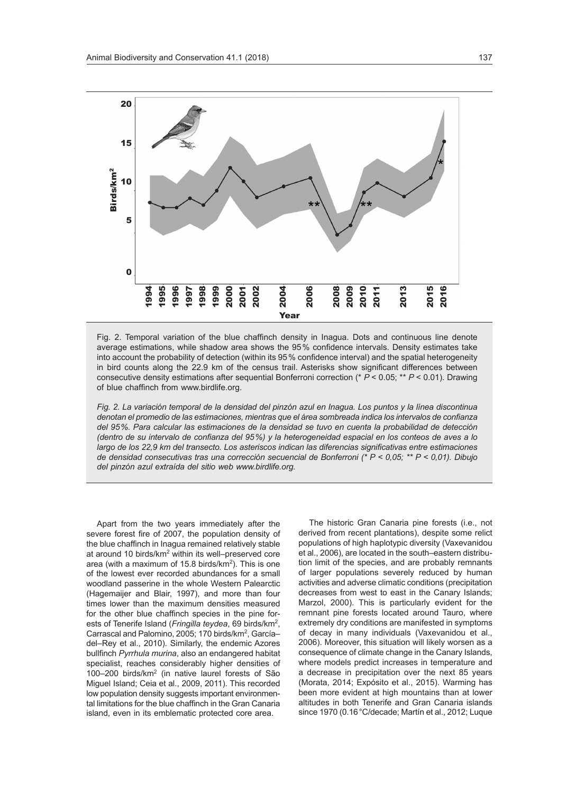

Fig. 2. Temporal variation of the blue chaffinch density in Inagua. Dots and continuous line denote average estimations, while shadow area shows the 95% confidence intervals. Density estimates take into account the probability of detection (within its 95% confidence interval) and the spatial heterogeneity in bird counts along the 22.9 km of the census trail. Asterisks show significant differences between consecutive density estimations after sequential Bonferroni correction (\* *P* < 0.05; \*\* *P* < 0.01). Drawing of blue chaffinch from [www.birdlife.org](http://www.birdlife.org).

*Fig. 2. La variación temporal de la densidad del pinzón azul en Inagua. Los puntos y la línea discontinua denotan el promedio de las estimaciones, mientras que el área sombreada indica los intervalos de confianza del 95%. Para calcular las estimaciones de la densidad se tuvo en cuenta la probabilidad de detección (dentro de su intervalo de confianza del 95%) y la heterogeneidad espacial en los conteos de aves a lo largo de los 22,9 km del transecto. Los asteriscos indican las diferencias significativas entre estimaciones de densidad consecutivas tras una corrección secuencial de Bonferroni (\* P < 0,05; \*\* P < 0,01). Dibujo del pinzón azul extraída del sitio web [www.birdlife.org](http://www.birdlife.org).*

Apart from the two years immediately after the severe forest fire of 2007, the population density of the blue chaffinch in Inagua remained relatively stable at around 10 birds/km2 within its well–preserved core area (with a maximum of 15.8 birds/km2). This is one of the lowest ever recorded abundances for a small woodland passerine in the whole Western Palearctic (Hagemaijer and Blair, 1997), and more than four times lower than the maximum densities measured for the other blue chaffinch species in the pine forests of Tenerife Island (*Fringilla teydea*, 69 birds/km2, Carrascal and Palomino, 2005; 170 birds/km<sup>2</sup>, Garcíadel–Rey et al., 2010). Similarly, the endemic Azores bullfinch *Pyrrhula murina*, also an endangered habitat specialist, reaches considerably higher densities of 100–200 birds/km2 (in native laurel forests of São Miguel Island; Ceia et al., 2009, 2011). This recorded low population density suggests important environmental limitations for the blue chaffinch in the Gran Canaria island, even in its emblematic protected core area.

The historic Gran Canaria pine forests (i.e., not derived from recent plantations), despite some relict populations of high haplotypic diversity (Vaxevanidou et al., 2006), are located in the south–eastern distribution limit of the species, and are probably remnants of larger populations severely reduced by human activities and adverse climatic conditions (precipitation decreases from west to east in the Canary Islands; Marzol, 2000). This is particularly evident for the remnant pine forests located around Tauro, where extremely dry conditions are manifested in symptoms of decay in many individuals (Vaxevanidou et al., 2006). Moreover, this situation will likely worsen as a consequence of climate change in the Canary Islands, where models predict increases in temperature and a decrease in precipitation over the next 85 years (Morata, 2014; Expósito et al., 2015). Warming has been more evident at high mountains than at lower altitudes in both Tenerife and Gran Canaria islands since 1970 (0.16°C/decade; Martín et al., 2012; Luque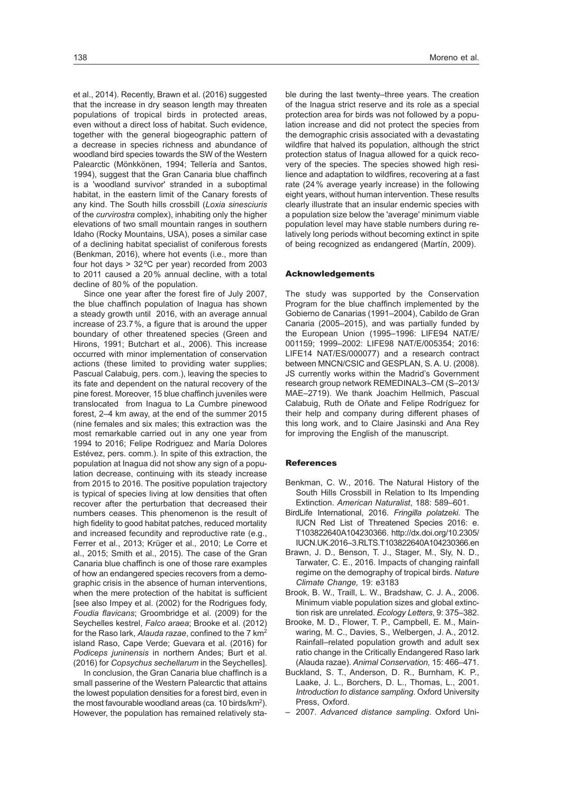et al., 2014). Recently, Brawn et al. (2016) suggested that the increase in dry season length may threaten populations of tropical birds in protected areas, even without a direct loss of habitat. Such evidence, together with the general biogeographic pattern of a decrease in species richness and abundance of woodland bird species towards the SW of the Western Palearctic (Mönkkönen, 1994; Tellería and Santos, 1994), suggest that the Gran Canaria blue chaffinch is a 'woodland survivor' stranded in a suboptimal habitat, in the eastern limit of the Canary forests of any kind. The South hills crossbill (*Loxia sinesciuris* of the *curvirostra* complex), inhabiting only the higher elevations of two small mountain ranges in southern Idaho (Rocky Mountains, USA), poses a similar case of a declining habitat specialist of coniferous forests (Benkman, 2016), where hot events (i.e., more than four hot days > 32ºC per year) recorded from 2003 to 2011 caused a 20% annual decline, with a total decline of 80% of the population.

Since one year after the forest fire of July 2007, the blue chaffinch population of Inagua has shown a steady growth until 2016, with an average annual increase of 23.7%, a figure that is around the upper boundary of other threatened species (Green and Hirons, 1991; Butchart et al., 2006). This increase occurred with minor implementation of conservation actions (these limited to providing water supplies; Pascual Calabuig, pers. com.), leaving the species to its fate and dependent on the natural recovery of the pine forest. Moreover, 15 blue chaffinch juveniles were translocated from Inagua to La Cumbre pinewood forest, 2–4 km away, at the end of the summer 2015 (nine females and six males; this extraction was the most remarkable carried out in any one year from 1994 to 2016; Felipe Rodriguez and María Dolores Estévez, pers. comm.). In spite of this extraction, the population at Inagua did not show any sign of a population decrease, continuing with its steady increase from 2015 to 2016. The positive population trajectory is typical of species living at low densities that often recover after the perturbation that decreased their numbers ceases. This phenomenon is the result of high fidelity to good habitat patches, reduced mortality and increased fecundity and reproductive rate (e.g., Ferrer et al., 2013; Krüger et al., 2010; Le Corre et al., 2015; Smith et al., 2015). The case of the Gran Canaria blue chaffinch is one of those rare examples of how an endangered species recovers from a demographic crisis in the absence of human interventions, when the mere protection of the habitat is sufficient [see also Impey et al. (2002) for the Rodrigues fody, *Foudia flavicans*; Groombridge et al. (2009) for the Seychelles kestrel, *Falco araea*; Brooke et al. (2012) for the Raso lark, *Alauda razae*, confined to the 7 km<sup>2</sup> island Raso, Cape Verde; Guevara et al. (2016) for *Podiceps juninensis* in northern Andes; Burt et al. (2016) for *Copsychus sechellarum* in the Seychelles].

In conclusion, the Gran Canaria blue chaffinch is a small passerine of the Western Palearctic that attains the lowest population densities for a forest bird, even in the most favourable woodland areas (ca. 10 birds/km2). However, the population has remained relatively stable during the last twenty–three years. The creation of the Inagua strict reserve and its role as a special protection area for birds was not followed by a population increase and did not protect the species from the demographic crisis associated with a devastating wildfire that halved its population, although the strict protection status of Inagua allowed for a quick recovery of the species. The species showed high resilience and adaptation to wildfires, recovering at a fast rate (24% average yearly increase) in the following eight years, without human intervention. These results clearly illustrate that an insular endemic species with a population size below the 'average' minimum viable population level may have stable numbers during relatively long periods without becoming extinct in spite of being recognized as endangered (Martín, 2009).

#### Acknowledgements

The study was supported by the Conservation Program for the blue chaffinch implemented by the Gobierno de Canarias (1991–2004), Cabildo de Gran Canaria (2005–2015), and was partially funded by the European Union (1995–1996: LIFE94 NAT/E/ 001159; 1999–2002: LIFE98 NAT/E/005354; 2016: LIFE14 NAT/ES/000077) and a research contract between MNCN/CSIC and GESPLAN, S. A. U. (2008). JS currently works within the Madrid's Government research group network REMEDINAL3–CM (S–2013/ MAE–2719). We thank Joachim Hellmich, Pascual Calabuig, Ruth de Oñate and Felipe Rodríguez for their help and company during different phases of this long work, and to Claire Jasinski and Ana Rey for improving the English of the manuscript.

### **References**

- Benkman, C. W., 2016. The Natural History of the South Hills Crossbill in Relation to Its Impending Extinction. *American Naturalist*, 188: 589–601.
- BirdLife International, 2016. *Fringilla polatzeki*. The IUCN Red List of Threatened Species 2016: e. T103822640A104230366. [http://dx.doi.org/10.2305/](http://dx.doi.org/10.2305/ IUCN.UK.2016-3.RLTS.T103822640A104230366.en )  [IUCN.UK.2016–3.RLTS.T103822640A104230366.en](http://dx.doi.org/10.2305/ IUCN.UK.2016-3.RLTS.T103822640A104230366.en )
- Brawn, J. D., Benson, T. J., Stager, M., Sly, N. D., Tarwater, C. E., 2016. Impacts of changing rainfall regime on the demography of tropical birds. *Nature Climate Change,* 19: e3183
- Brook, B. W., Traill, L. W., Bradshaw, C. J. A., 2006. Minimum viable population sizes and global extinction risk are unrelated. *Ecology Letters*, 9: 375–382.
- Brooke, M. D., Flower, T. P., Campbell, E. M., Mainwaring, M. C., Davies, S., Welbergen, J. A., 2012. Rainfall–related population growth and adult sex ratio change in the Critically Endangered Raso lark (Alauda razae). *Animal Conservation,* 15: 466–471.
- Buckland, S. T., Anderson, D. R., Burnham, K. P., Laake, J. L., Borchers, D. L., Thomas, L., 2001. *Introduction to distance sampling*. Oxford University Press, Oxford.
- 2007. *Advanced distance sampling*. Oxford Uni-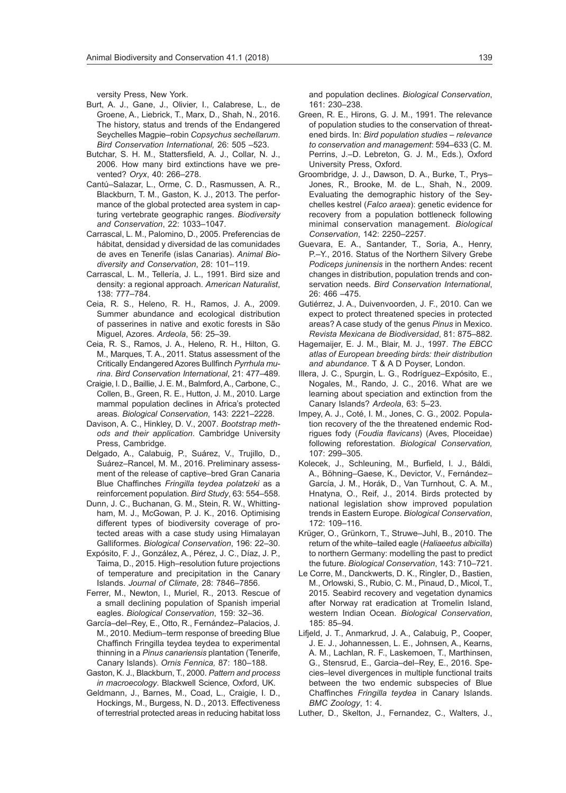versity Press, New York.

- Burt, A. J., Gane, J., Olivier, I., Calabrese, L., de Groene, A., Liebrick, T., Marx, D., Shah, N., 2016. The history, status and trends of the Endangered Seychelles Magpie–robin *Copsychus sechellarum*. *Bird Conservation International,* 26: 505 –523.
- Butchar, S. H. M., Stattersfield, A. J., Collar, N. J., 2006. How many bird extinctions have we prevented? *Oryx*, 40: 266–278.
- Cantú–Salazar, L., Orme, C. D., Rasmussen, A. R., Blackburn, T. M., Gaston, K. J., 2013. The performance of the global protected area system in capturing vertebrate geographic ranges. *Biodiversity and Conservation*, 22: 1033–1047.
- Carrascal, L. M., Palomino, D., 2005. Preferencias de hábitat, densidad y diversidad de las comunidades de aves en Tenerife (islas Canarias). *Animal Biodiversity and Conservation*, 28: 101–119.
- Carrascal, L. M., Tellería, J. L., 1991. Bird size and density: a regional approach. *American Naturalist*, 138: 777–784.
- Ceia, R. S., Heleno, R. H., Ramos, J. A., 2009. Summer abundance and ecological distribution of passerines in native and exotic forests in São Miguel, Azores. *Ardeola*, 56: 25–39.
- Ceia, R. S., Ramos, J. A., Heleno, R. H., Hilton, G. M., Marques, T. A., 2011. Status assessment of the Critically Endangered Azores Bullfinch *Pyrrhula murina*. *Bird Conservation International*, 21: 477–489.
- Craigie, I. D., Baillie, J. E. M., Balmford, A., Carbone, C., Collen, B., Green, R. E., Hutton, J. M., 2010. Large mammal population declines in Africa's protected areas. *Biological Conservation*, 143: 2221–2228.
- Davison, A. C., Hinkley, D. V., 2007. *Bootstrap methods and their application*. Cambridge University Press, Cambridge.
- Delgado, A., Calabuig, P., Suárez, V., Trujillo, D., Suárez–Rancel, M. M., 2016. Preliminary assessment of the release of captive–bred Gran Canaria Blue Chaffinches *Fringilla teydea polatzeki* as a reinforcement population. *Bird Study*, 63: 554–558.
- Dunn, J. C., Buchanan, G. M., Stein, R. W., Whittingham, M. J., McGowan, P. J. K., 2016. Optimising different types of biodiversity coverage of protected areas with a case study using Himalayan Galliformes. *Biological Conservation*, 196: 22–30.
- Expósito, F. J., González, A., Pérez, J. C., Díaz, J. P., Taima, D., 2015. High–resolution future projections of temperature and precipitation in the Canary Islands. *Journal of Climate*, 28: 7846–7856.
- Ferrer, M., Newton, I., Muriel, R., 2013. Rescue of a small declining population of Spanish imperial eagles. *Biological Conservation*, 159: 32–36.
- García–del–Rey, E., Otto, R., Fernández–Palacios, J. M., 2010. Medium–term response of breeding Blue Chaffinch Fringilla teydea teydea to experimental thinning in a *Pinus canariensis* plantation (Tenerife, Canary Islands). *Ornis Fennica,* 87: 180–188.
- Gaston, K. J., Blackburn, T., 2000. *Pattern and process in macroecology*. Blackwell Science, Oxford, UK.
- Geldmann, J., Barnes, M., Coad, L., Craigie, I. D., Hockings, M., Burgess, N. D., 2013. Effectiveness of terrestrial protected areas in reducing habitat loss

and population declines. *Biological Conservation*, 161: 230–238.

- Green, R. E., Hirons, G. J. M., 1991. The relevance of population studies to the conservation of threatened birds. In: *Bird population studies – relevance to conservation and management*: 594–633 (C. M. Perrins, J.–D. Lebreton, G. J. M., Eds.), Oxford University Press, Oxford.
- Groombridge, J. J., Dawson, D. A., Burke, T., Prys– Jones, R., Brooke, M. de L., Shah, N., 2009. Evaluating the demographic history of the Seychelles kestrel (*Falco araea*): genetic evidence for recovery from a population bottleneck following minimal conservation management. *Biological Conservation*, 142: 2250–2257.
- Guevara, E. A., Santander, T., Soria, A., Henry, P.–Y., 2016. Status of the Northern Silvery Grebe *Podiceps juninensis* in the northern Andes: recent changes in distribution, population trends and conservation needs. *Bird Conservation International*, 26: 466 –475.
- Gutiérrez, J. A., Duivenvoorden, J. F., 2010. Can we expect to protect threatened species in protected areas? A case study of the genus *Pinus* in Mexico. *Revista Mexicana de Biodiversidad*, 81: 875–882.
- Hagemaijer, E. J. M., Blair, M. J., 1997. *The EBCC atlas of European breeding birds: their distribution and abundance*. T & A D Poyser, London.
- Illera, J. C., Spurgin, L. G., Rodríguez–Expósito, E., Nogales, M., Rando, J. C., 2016. What are we learning about speciation and extinction from the Canary Islands? *Ardeola*, 63: 5–23.
- Impey, A. J., Coté, I. M., Jones, C. G., 2002. Population recovery of the the threatened endemic Rodrigues fody (*Foudia flavicans*) (Aves, Ploceidae) following reforestation. *Biological Conservation,* 107: 299–305.
- Kolecek, J., Schleuning, M., Burfield, I. J., Báldi, A., Böhning–Gaese, K., Devictor, V., Fernández– García, J. M., Horák, D., Van Turnhout, C. A. M., Hnatyna, O., Reif, J., 2014. Birds protected by national legislation show improved population trends in Eastern Europe. *Biological Conservation*, 172: 109–116.
- Krüger, O., Grünkorn, T., Struwe–Juhl, B., 2010. The return of the white–tailed eagle (*Haliaeetus albicilla*) to northern Germany: modelling the past to predict the future. *Biological Conservation*, 143: 710–721.
- Le Corre, M., Danckwerts, D. K., Ringler, D., Bastien, M., Orlowski, S., Rubio, C. M., Pinaud, D., Micol, T., 2015. Seabird recovery and vegetation dynamics after Norway rat eradication at Tromelin Island, western Indian Ocean. *Biological Conservation*, 185: 85–94.
- Lifjeld, J. T., Anmarkrud, J. A., Calabuig, P., Cooper, J. E. J., Johannessen, L. E., Johnsen, A., Kearns, A. M., Lachlan, R. F., Laskemoen, T., Marthinsen, G., Stensrud, E., Garcia–del–Rey, E., 2016. Species–level divergences in multiple functional traits between the two endemic subspecies of Blue Chaffinches *Fringilla teydea* in Canary Islands. *BMC Zoology*, 1: 4.

Luther, D., Skelton, J., Fernandez, C., Walters, J.,